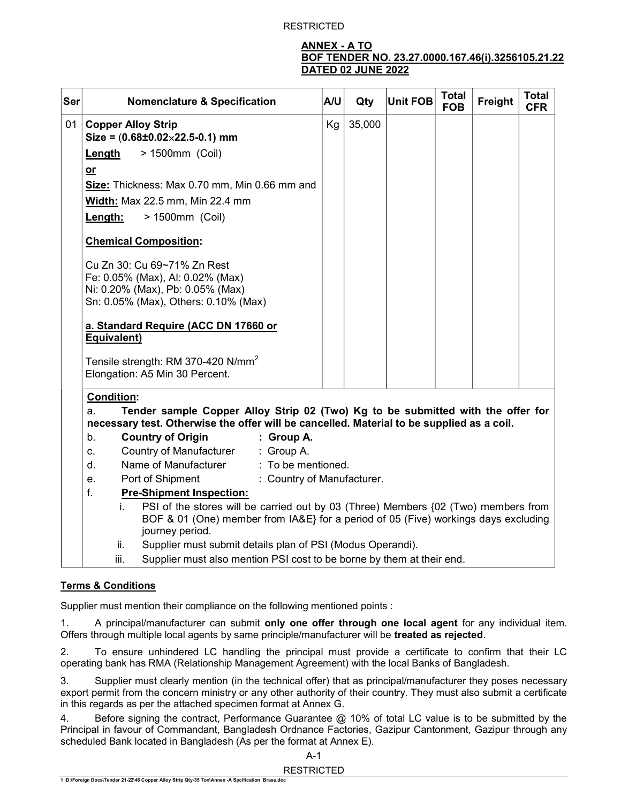## ANNEX - A TO BOF TENDER NO. 23.27.0000.167.46(i).3256105.21.22 DATED 02 JUNE 2022

| Ser | <b>Nomenclature &amp; Specification</b>                                                                                                                                                                                                             | A/U | Qty    | <b>Unit FOB</b> | <b>Total</b><br><b>FOB</b> | Freight | <b>Total</b><br><b>CFR</b> |
|-----|-----------------------------------------------------------------------------------------------------------------------------------------------------------------------------------------------------------------------------------------------------|-----|--------|-----------------|----------------------------|---------|----------------------------|
| 01  | <b>Copper Alloy Strip</b>                                                                                                                                                                                                                           | Kg  | 35,000 |                 |                            |         |                            |
|     | Size = $(0.68 \pm 0.02 \times 22.5 - 0.1)$ mm                                                                                                                                                                                                       |     |        |                 |                            |         |                            |
|     | > 1500mm (Coil)<br><b>Length</b>                                                                                                                                                                                                                    |     |        |                 |                            |         |                            |
|     | $or$                                                                                                                                                                                                                                                |     |        |                 |                            |         |                            |
|     | Size: Thickness: Max 0.70 mm, Min 0.66 mm and                                                                                                                                                                                                       |     |        |                 |                            |         |                            |
|     | Width: Max 22.5 mm, Min 22.4 mm                                                                                                                                                                                                                     |     |        |                 |                            |         |                            |
|     | > 1500mm (Coil)<br>Length:                                                                                                                                                                                                                          |     |        |                 |                            |         |                            |
|     | <b>Chemical Composition:</b>                                                                                                                                                                                                                        |     |        |                 |                            |         |                            |
|     | Cu Zn 30: Cu 69~71% Zn Rest<br>Fe: 0.05% (Max), AI: 0.02% (Max)<br>Ni: 0.20% (Max), Pb: 0.05% (Max)<br>Sn: 0.05% (Max), Others: 0.10% (Max)                                                                                                         |     |        |                 |                            |         |                            |
|     | a. Standard Require (ACC DN 17660 or<br>Equivalent)                                                                                                                                                                                                 |     |        |                 |                            |         |                            |
|     | Tensile strength: RM 370-420 N/mm <sup>2</sup><br>Elongation: A5 Min 30 Percent.                                                                                                                                                                    |     |        |                 |                            |         |                            |
|     | <b>Condition:</b><br>Tender sample Copper Alloy Strip 02 (Two) Kg to be submitted with the offer for<br>a.<br>necessary test. Otherwise the offer will be cancelled. Material to be supplied as a coil.                                             |     |        |                 |                            |         |                            |
|     | <b>Country of Origin</b><br>: Group A.<br>b.                                                                                                                                                                                                        |     |        |                 |                            |         |                            |
|     | Country of Manufacturer<br>: Group A.<br>C <sub>1</sub>                                                                                                                                                                                             |     |        |                 |                            |         |                            |
|     | Name of Manufacturer<br>: To be mentioned.<br>d.                                                                                                                                                                                                    |     |        |                 |                            |         |                            |
|     | : Country of Manufacturer.<br>Port of Shipment<br>e.                                                                                                                                                                                                |     |        |                 |                            |         |                            |
|     | $f_{\cdot}$<br><b>Pre-Shipment Inspection:</b><br>PSI of the stores will be carried out by 03 (Three) Members {02 (Two) members from<br>i.<br>BOF & 01 (One) member from IA&E} for a period of 05 (Five) workings days excluding<br>journey period. |     |        |                 |                            |         |                            |
|     |                                                                                                                                                                                                                                                     |     |        |                 |                            |         |                            |
|     | Supplier must submit details plan of PSI (Modus Operandi).<br>ii.                                                                                                                                                                                   |     |        |                 |                            |         |                            |
|     | Supplier must also mention PSI cost to be borne by them at their end.<br>iii.                                                                                                                                                                       |     |        |                 |                            |         |                            |

## Terms & Conditions

Supplier must mention their compliance on the following mentioned points :

1. A principal/manufacturer can submit only one offer through one local agent for any individual item. Offers through multiple local agents by same principle/manufacturer will be treated as rejected.

2. To ensure unhindered LC handling the principal must provide a certificate to confirm that their LC operating bank has RMA (Relationship Management Agreement) with the local Banks of Bangladesh.

3. Supplier must clearly mention (in the technical offer) that as principal/manufacturer they poses necessary export permit from the concern ministry or any other authority of their country. They must also submit a certificate in this regards as per the attached specimen format at Annex G.

4. Before signing the contract, Performance Guarantee @ 10% of total LC value is to be submitted by the Principal in favour of Commandant, Bangladesh Ordnance Factories, Gazipur Cantonment, Gazipur through any scheduled Bank located in Bangladesh (As per the format at Annex E).

A-1

## RESTRICTED